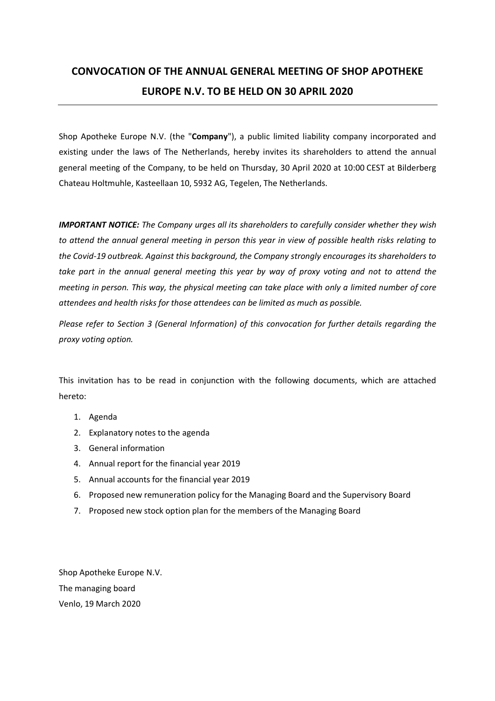# **CONVOCATION OF THE ANNUAL GENERAL MEETING OF SHOP APOTHEKE EUROPE N.V. TO BE HELD ON 30 APRIL 2020**

Shop Apotheke Europe N.V. (the "**Company**"), a public limited liability company incorporated and existing under the laws of The Netherlands, hereby invites its shareholders to attend the annual general meeting of the Company, to be held on Thursday, 30 April 2020 at 10:00 CEST at Bilderberg Chateau Holtmuhle, Kasteellaan 10, 5932 AG, Tegelen, The Netherlands.

*IMPORTANT NOTICE: The Company urges all its shareholders to carefully consider whether they wish to attend the annual general meeting in person this year in view of possible health risks relating to the Covid-19 outbreak. Against this background, the Company strongly encourages its shareholders to take part in the annual general meeting this year by way of proxy voting and not to attend the meeting in person. This way, the physical meeting can take place with only a limited number of core attendees and health risks for those attendees can be limited as much as possible.* 

*Please refer to Section 3 (General Information) of this convocation for further details regarding the proxy voting option.* 

This invitation has to be read in conjunction with the following documents, which are attached hereto:

- 1. Agenda
- 2. Explanatory notes to the agenda
- 3. General information
- 4. Annual report for the financial year 2019
- 5. Annual accounts for the financial year 2019
- 6. Proposed new remuneration policy for the Managing Board and the Supervisory Board
- 7. Proposed new stock option plan for the members of the Managing Board

Shop Apotheke Europe N.V. The managing board Venlo, 19 March 2020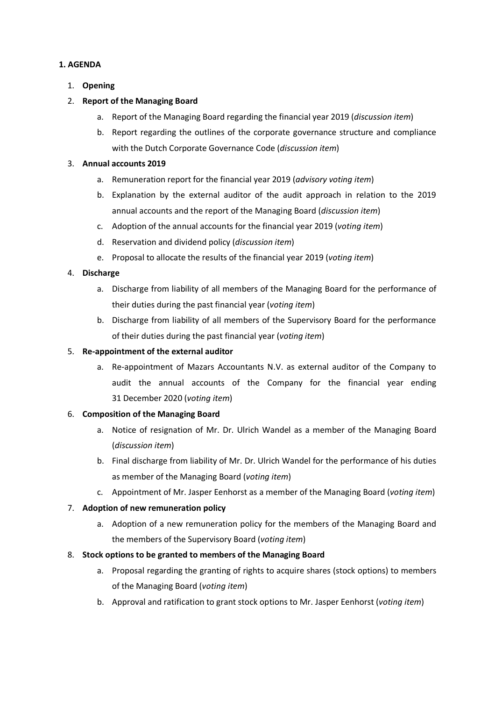## **1. AGENDA**

1. **Opening** 

### 2. **Report of the Managing Board**

- a. Report of the Managing Board regarding the financial year 2019 (*discussion item*)
- b. Report regarding the outlines of the corporate governance structure and compliance with the Dutch Corporate Governance Code (*discussion item*)

### 3. **Annual accounts 2019**

- a. Remuneration report for the financial year 2019 (*advisory voting item*)
- b. Explanation by the external auditor of the audit approach in relation to the 2019 annual accounts and the report of the Managing Board (*discussion item*)
- c. Adoption of the annual accounts for the financial year 2019 (*voting item*)
- d. Reservation and dividend policy (*discussion item*)
- e. Proposal to allocate the results of the financial year 2019 (*voting item*)

### 4. **Discharge**

- a. Discharge from liability of all members of the Managing Board for the performance of their duties during the past financial year (*voting item*)
- b. Discharge from liability of all members of the Supervisory Board for the performance of their duties during the past financial year (*voting item*)

### 5. **Re-appointment of the external auditor**

a. Re-appointment of Mazars Accountants N.V. as external auditor of the Company to audit the annual accounts of the Company for the financial year ending 31 December 2020 (*voting item*)

### 6. **Composition of the Managing Board**

- a. Notice of resignation of Mr. Dr. Ulrich Wandel as a member of the Managing Board (*discussion item*)
- b. Final discharge from liability of Mr. Dr. Ulrich Wandel for the performance of his duties as member of the Managing Board (*voting item*)
- c. Appointment of Mr. Jasper Eenhorst as a member of the Managing Board (*voting item*)

## 7. **Adoption of new remuneration policy**

- a. Adoption of a new remuneration policy for the members of the Managing Board and the members of the Supervisory Board (*voting item*)
- 8. **Stock options to be granted to members of the Managing Board** 
	- a. Proposal regarding the granting of rights to acquire shares (stock options) to members of the Managing Board (*voting item*)
	- b. Approval and ratification to grant stock options to Mr. Jasper Eenhorst (*voting item*)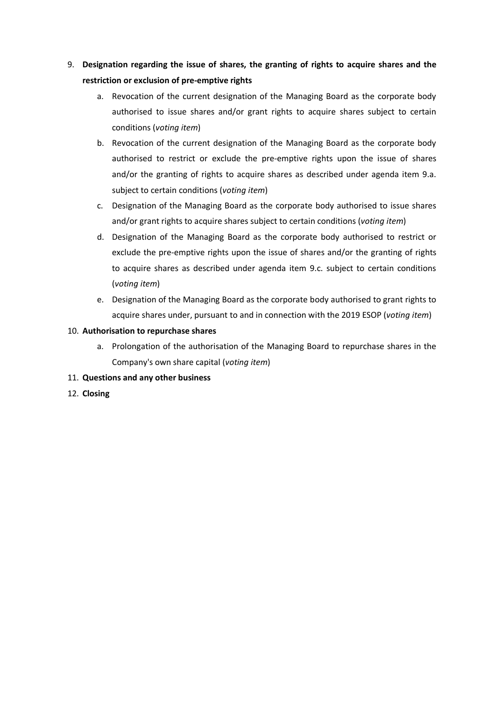- 9. **Designation regarding the issue of shares, the granting of rights to acquire shares and the restriction or exclusion of pre-emptive rights** 
	- a. Revocation of the current designation of the Managing Board as the corporate body authorised to issue shares and/or grant rights to acquire shares subject to certain conditions (*voting item*)
	- b. Revocation of the current designation of the Managing Board as the corporate body authorised to restrict or exclude the pre-emptive rights upon the issue of shares and/or the granting of rights to acquire shares as described under agenda item 9.a. subject to certain conditions (*voting item*)
	- c. Designation of the Managing Board as the corporate body authorised to issue shares and/or grant rights to acquire shares subject to certain conditions (*voting item*)
	- d. Designation of the Managing Board as the corporate body authorised to restrict or exclude the pre-emptive rights upon the issue of shares and/or the granting of rights to acquire shares as described under agenda item 9.c. subject to certain conditions (*voting item*)
	- e. Designation of the Managing Board as the corporate body authorised to grant rights to acquire shares under, pursuant to and in connection with the 2019 ESOP (*voting item*)

## 10. **Authorisation to repurchase shares**

- a. Prolongation of the authorisation of the Managing Board to repurchase shares in the Company's own share capital (*voting item*)
- 11. **Questions and any other business**
- 12. **Closing**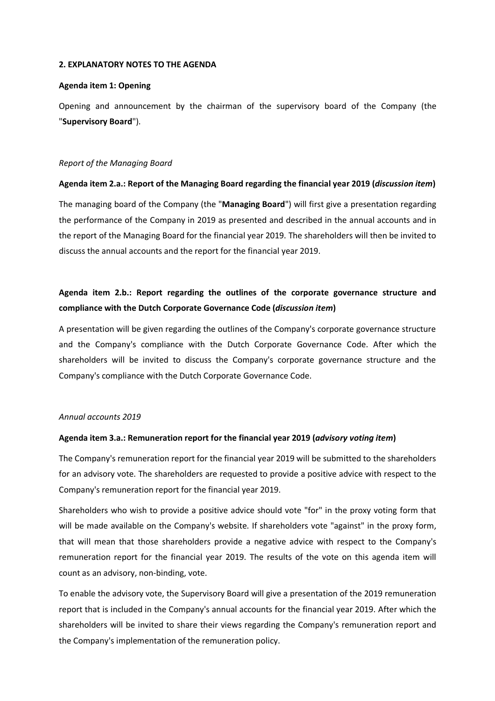#### **2. EXPLANATORY NOTES TO THE AGENDA**

### **Agenda item 1: Opening**

Opening and announcement by the chairman of the supervisory board of the Company (the "**Supervisory Board**").

### *Report of the Managing Board*

### **Agenda item 2.a.: Report of the Managing Board regarding the financial year 2019 (***discussion item***)**

The managing board of the Company (the "**Managing Board**") will first give a presentation regarding the performance of the Company in 2019 as presented and described in the annual accounts and in the report of the Managing Board for the financial year 2019. The shareholders will then be invited to discuss the annual accounts and the report for the financial year 2019.

# **Agenda item 2.b.: Report regarding the outlines of the corporate governance structure and compliance with the Dutch Corporate Governance Code (***discussion item***)**

A presentation will be given regarding the outlines of the Company's corporate governance structure and the Company's compliance with the Dutch Corporate Governance Code. After which the shareholders will be invited to discuss the Company's corporate governance structure and the Company's compliance with the Dutch Corporate Governance Code.

### *Annual accounts 2019*

### **Agenda item 3.a.: Remuneration report for the financial year 2019 (***advisory voting item***)**

The Company's remuneration report for the financial year 2019 will be submitted to the shareholders for an advisory vote. The shareholders are requested to provide a positive advice with respect to the Company's remuneration report for the financial year 2019.

Shareholders who wish to provide a positive advice should vote "for" in the proxy voting form that will be made available on the Company's website. If shareholders vote "against" in the proxy form, that will mean that those shareholders provide a negative advice with respect to the Company's remuneration report for the financial year 2019. The results of the vote on this agenda item will count as an advisory, non-binding, vote.

To enable the advisory vote, the Supervisory Board will give a presentation of the 2019 remuneration report that is included in the Company's annual accounts for the financial year 2019. After which the shareholders will be invited to share their views regarding the Company's remuneration report and the Company's implementation of the remuneration policy.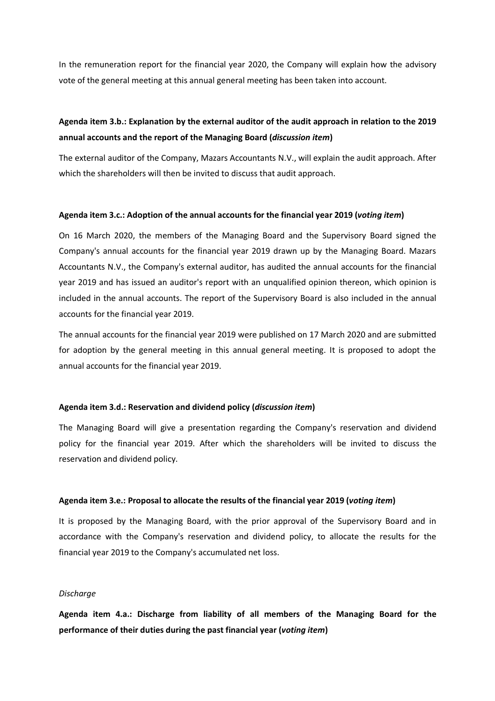In the remuneration report for the financial year 2020, the Company will explain how the advisory vote of the general meeting at this annual general meeting has been taken into account.

# **Agenda item 3.b.: Explanation by the external auditor of the audit approach in relation to the 2019 annual accounts and the report of the Managing Board (***discussion item***)**

The external auditor of the Company, Mazars Accountants N.V., will explain the audit approach. After which the shareholders will then be invited to discuss that audit approach.

#### **Agenda item 3.c.: Adoption of the annual accounts for the financial year 2019 (***voting item***)**

On 16 March 2020, the members of the Managing Board and the Supervisory Board signed the Company's annual accounts for the financial year 2019 drawn up by the Managing Board. Mazars Accountants N.V., the Company's external auditor, has audited the annual accounts for the financial year 2019 and has issued an auditor's report with an unqualified opinion thereon, which opinion is included in the annual accounts. The report of the Supervisory Board is also included in the annual accounts for the financial year 2019.

The annual accounts for the financial year 2019 were published on 17 March 2020 and are submitted for adoption by the general meeting in this annual general meeting. It is proposed to adopt the annual accounts for the financial year 2019.

#### **Agenda item 3.d.: Reservation and dividend policy (***discussion item***)**

The Managing Board will give a presentation regarding the Company's reservation and dividend policy for the financial year 2019. After which the shareholders will be invited to discuss the reservation and dividend policy.

#### **Agenda item 3.e.: Proposal to allocate the results of the financial year 2019 (***voting item***)**

It is proposed by the Managing Board, with the prior approval of the Supervisory Board and in accordance with the Company's reservation and dividend policy, to allocate the results for the financial year 2019 to the Company's accumulated net loss.

#### *Discharge*

**Agenda item 4.a.: Discharge from liability of all members of the Managing Board for the performance of their duties during the past financial year (***voting item***)**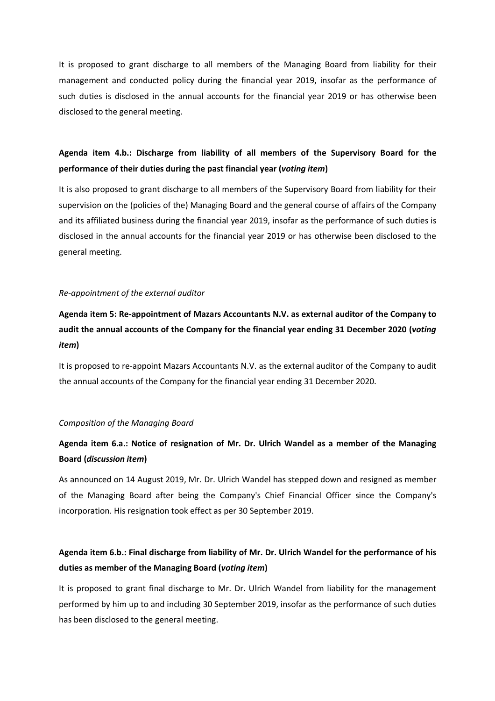It is proposed to grant discharge to all members of the Managing Board from liability for their management and conducted policy during the financial year 2019, insofar as the performance of such duties is disclosed in the annual accounts for the financial year 2019 or has otherwise been disclosed to the general meeting.

# **Agenda item 4.b.: Discharge from liability of all members of the Supervisory Board for the performance of their duties during the past financial year (***voting item***)**

It is also proposed to grant discharge to all members of the Supervisory Board from liability for their supervision on the (policies of the) Managing Board and the general course of affairs of the Company and its affiliated business during the financial year 2019, insofar as the performance of such duties is disclosed in the annual accounts for the financial year 2019 or has otherwise been disclosed to the general meeting.

### *Re-appointment of the external auditor*

**Agenda item 5: Re-appointment of Mazars Accountants N.V. as external auditor of the Company to audit the annual accounts of the Company for the financial year ending 31 December 2020 (***voting item***)**

It is proposed to re-appoint Mazars Accountants N.V. as the external auditor of the Company to audit the annual accounts of the Company for the financial year ending 31 December 2020.

### *Composition of the Managing Board*

# **Agenda item 6.a.: Notice of resignation of Mr. Dr. Ulrich Wandel as a member of the Managing Board (***discussion item***)**

As announced on 14 August 2019, Mr. Dr. Ulrich Wandel has stepped down and resigned as member of the Managing Board after being the Company's Chief Financial Officer since the Company's incorporation. His resignation took effect as per 30 September 2019.

# **Agenda item 6.b.: Final discharge from liability of Mr. Dr. Ulrich Wandel for the performance of his duties as member of the Managing Board (***voting item***)**

It is proposed to grant final discharge to Mr. Dr. Ulrich Wandel from liability for the management performed by him up to and including 30 September 2019, insofar as the performance of such duties has been disclosed to the general meeting.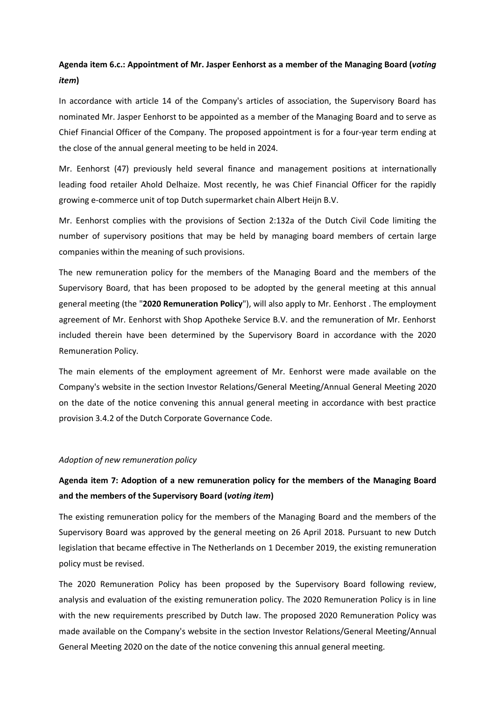# **Agenda item 6.c.: Appointment of Mr. Jasper Eenhorst as a member of the Managing Board (***voting item***)**

In accordance with article 14 of the Company's articles of association, the Supervisory Board has nominated Mr. Jasper Eenhorst to be appointed as a member of the Managing Board and to serve as Chief Financial Officer of the Company. The proposed appointment is for a four-year term ending at the close of the annual general meeting to be held in 2024.

Mr. Eenhorst (47) previously held several finance and management positions at internationally leading food retailer Ahold Delhaize. Most recently, he was Chief Financial Officer for the rapidly growing e-commerce unit of top Dutch supermarket chain Albert Heijn B.V.

Mr. Eenhorst complies with the provisions of Section 2:132a of the Dutch Civil Code limiting the number of supervisory positions that may be held by managing board members of certain large companies within the meaning of such provisions.

The new remuneration policy for the members of the Managing Board and the members of the Supervisory Board, that has been proposed to be adopted by the general meeting at this annual general meeting (the "**2020 Remuneration Policy**"), will also apply to Mr. Eenhorst . The employment agreement of Mr. Eenhorst with Shop Apotheke Service B.V. and the remuneration of Mr. Eenhorst included therein have been determined by the Supervisory Board in accordance with the 2020 Remuneration Policy.

The main elements of the employment agreement of Mr. Eenhorst were made available on the Company's website in the section Investor Relations/General Meeting/Annual General Meeting 2020 on the date of the notice convening this annual general meeting in accordance with best practice provision 3.4.2 of the Dutch Corporate Governance Code.

#### *Adoption of new remuneration policy*

# **Agenda item 7: Adoption of a new remuneration policy for the members of the Managing Board and the members of the Supervisory Board (***voting item***)**

The existing remuneration policy for the members of the Managing Board and the members of the Supervisory Board was approved by the general meeting on 26 April 2018. Pursuant to new Dutch legislation that became effective in The Netherlands on 1 December 2019, the existing remuneration policy must be revised.

The 2020 Remuneration Policy has been proposed by the Supervisory Board following review, analysis and evaluation of the existing remuneration policy. The 2020 Remuneration Policy is in line with the new requirements prescribed by Dutch law. The proposed 2020 Remuneration Policy was made available on the Company's website in the section Investor Relations/General Meeting/Annual General Meeting 2020 on the date of the notice convening this annual general meeting.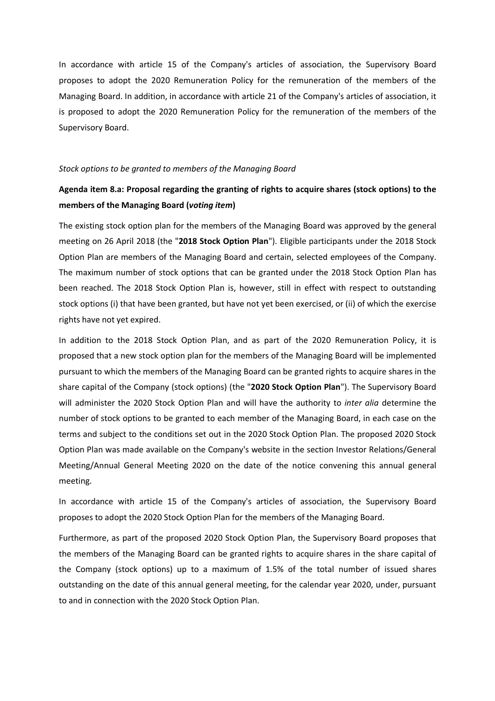In accordance with article 15 of the Company's articles of association, the Supervisory Board proposes to adopt the 2020 Remuneration Policy for the remuneration of the members of the Managing Board. In addition, in accordance with article 21 of the Company's articles of association, it is proposed to adopt the 2020 Remuneration Policy for the remuneration of the members of the Supervisory Board.

#### *Stock options to be granted to members of the Managing Board*

# **Agenda item 8.a: Proposal regarding the granting of rights to acquire shares (stock options) to the members of the Managing Board (***voting item***)**

The existing stock option plan for the members of the Managing Board was approved by the general meeting on 26 April 2018 (the "**2018 Stock Option Plan**"). Eligible participants under the 2018 Stock Option Plan are members of the Managing Board and certain, selected employees of the Company. The maximum number of stock options that can be granted under the 2018 Stock Option Plan has been reached. The 2018 Stock Option Plan is, however, still in effect with respect to outstanding stock options (i) that have been granted, but have not yet been exercised, or (ii) of which the exercise rights have not yet expired.

In addition to the 2018 Stock Option Plan, and as part of the 2020 Remuneration Policy, it is proposed that a new stock option plan for the members of the Managing Board will be implemented pursuant to which the members of the Managing Board can be granted rights to acquire shares in the share capital of the Company (stock options) (the "**2020 Stock Option Plan**"). The Supervisory Board will administer the 2020 Stock Option Plan and will have the authority to *inter alia* determine the number of stock options to be granted to each member of the Managing Board, in each case on the terms and subject to the conditions set out in the 2020 Stock Option Plan. The proposed 2020 Stock Option Plan was made available on the Company's website in the section Investor Relations/General Meeting/Annual General Meeting 2020 on the date of the notice convening this annual general meeting.

In accordance with article 15 of the Company's articles of association, the Supervisory Board proposes to adopt the 2020 Stock Option Plan for the members of the Managing Board.

Furthermore, as part of the proposed 2020 Stock Option Plan, the Supervisory Board proposes that the members of the Managing Board can be granted rights to acquire shares in the share capital of the Company (stock options) up to a maximum of 1.5% of the total number of issued shares outstanding on the date of this annual general meeting, for the calendar year 2020, under, pursuant to and in connection with the 2020 Stock Option Plan.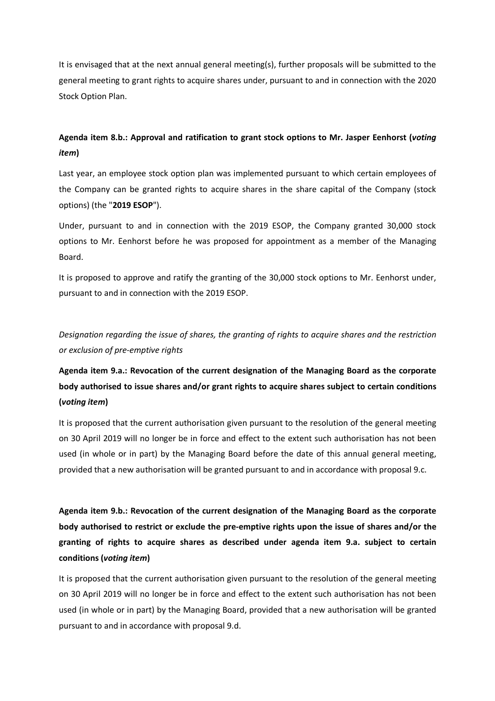It is envisaged that at the next annual general meeting(s), further proposals will be submitted to the general meeting to grant rights to acquire shares under, pursuant to and in connection with the 2020 Stock Option Plan.

# **Agenda item 8.b.: Approval and ratification to grant stock options to Mr. Jasper Eenhorst (***voting item***)**

Last year, an employee stock option plan was implemented pursuant to which certain employees of the Company can be granted rights to acquire shares in the share capital of the Company (stock options) (the "**2019 ESOP**").

Under, pursuant to and in connection with the 2019 ESOP, the Company granted 30,000 stock options to Mr. Eenhorst before he was proposed for appointment as a member of the Managing Board.

It is proposed to approve and ratify the granting of the 30,000 stock options to Mr. Eenhorst under, pursuant to and in connection with the 2019 ESOP.

*Designation regarding the issue of shares, the granting of rights to acquire shares and the restriction or exclusion of pre-emptive rights* 

# **Agenda item 9.a.: Revocation of the current designation of the Managing Board as the corporate body authorised to issue shares and/or grant rights to acquire shares subject to certain conditions (***voting item***)**

It is proposed that the current authorisation given pursuant to the resolution of the general meeting on 30 April 2019 will no longer be in force and effect to the extent such authorisation has not been used (in whole or in part) by the Managing Board before the date of this annual general meeting, provided that a new authorisation will be granted pursuant to and in accordance with proposal 9.c.

**Agenda item 9.b.: Revocation of the current designation of the Managing Board as the corporate body authorised to restrict or exclude the pre-emptive rights upon the issue of shares and/or the granting of rights to acquire shares as described under agenda item 9.a. subject to certain conditions (***voting item***)** 

It is proposed that the current authorisation given pursuant to the resolution of the general meeting on 30 April 2019 will no longer be in force and effect to the extent such authorisation has not been used (in whole or in part) by the Managing Board, provided that a new authorisation will be granted pursuant to and in accordance with proposal 9.d.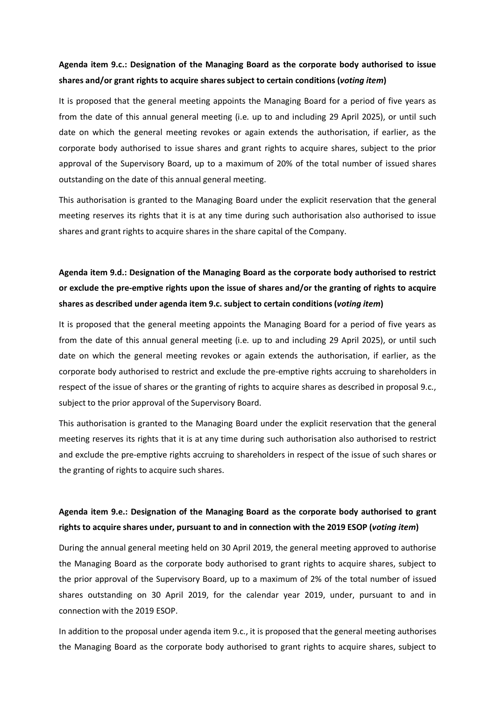# **Agenda item 9.c.: Designation of the Managing Board as the corporate body authorised to issue shares and/or grant rights to acquire shares subject to certain conditions (***voting item***)**

It is proposed that the general meeting appoints the Managing Board for a period of five years as from the date of this annual general meeting (i.e. up to and including 29 April 2025), or until such date on which the general meeting revokes or again extends the authorisation, if earlier, as the corporate body authorised to issue shares and grant rights to acquire shares, subject to the prior approval of the Supervisory Board, up to a maximum of 20% of the total number of issued shares outstanding on the date of this annual general meeting.

This authorisation is granted to the Managing Board under the explicit reservation that the general meeting reserves its rights that it is at any time during such authorisation also authorised to issue shares and grant rights to acquire shares in the share capital of the Company.

# **Agenda item 9.d.: Designation of the Managing Board as the corporate body authorised to restrict or exclude the pre-emptive rights upon the issue of shares and/or the granting of rights to acquire shares as described under agenda item 9.c. subject to certain conditions (***voting item***)**

It is proposed that the general meeting appoints the Managing Board for a period of five years as from the date of this annual general meeting (i.e. up to and including 29 April 2025), or until such date on which the general meeting revokes or again extends the authorisation, if earlier, as the corporate body authorised to restrict and exclude the pre-emptive rights accruing to shareholders in respect of the issue of shares or the granting of rights to acquire shares as described in proposal 9.c., subject to the prior approval of the Supervisory Board.

This authorisation is granted to the Managing Board under the explicit reservation that the general meeting reserves its rights that it is at any time during such authorisation also authorised to restrict and exclude the pre-emptive rights accruing to shareholders in respect of the issue of such shares or the granting of rights to acquire such shares.

# **Agenda item 9.e.: Designation of the Managing Board as the corporate body authorised to grant rights to acquire shares under, pursuant to and in connection with the 2019 ESOP (***voting item***)**

During the annual general meeting held on 30 April 2019, the general meeting approved to authorise the Managing Board as the corporate body authorised to grant rights to acquire shares, subject to the prior approval of the Supervisory Board, up to a maximum of 2% of the total number of issued shares outstanding on 30 April 2019, for the calendar year 2019, under, pursuant to and in connection with the 2019 ESOP.

In addition to the proposal under agenda item 9.c., it is proposed that the general meeting authorises the Managing Board as the corporate body authorised to grant rights to acquire shares, subject to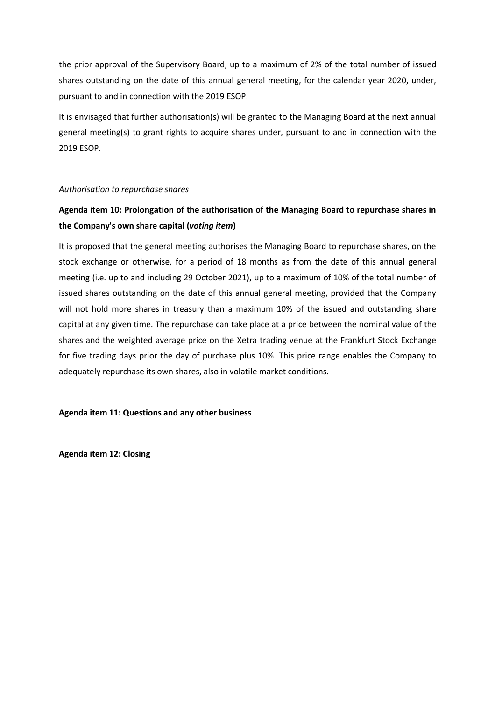the prior approval of the Supervisory Board, up to a maximum of 2% of the total number of issued shares outstanding on the date of this annual general meeting, for the calendar year 2020, under, pursuant to and in connection with the 2019 ESOP.

It is envisaged that further authorisation(s) will be granted to the Managing Board at the next annual general meeting(s) to grant rights to acquire shares under, pursuant to and in connection with the 2019 ESOP.

### *Authorisation to repurchase shares*

# **Agenda item 10: Prolongation of the authorisation of the Managing Board to repurchase shares in the Company's own share capital (***voting item***)**

It is proposed that the general meeting authorises the Managing Board to repurchase shares, on the stock exchange or otherwise, for a period of 18 months as from the date of this annual general meeting (i.e. up to and including 29 October 2021), up to a maximum of 10% of the total number of issued shares outstanding on the date of this annual general meeting, provided that the Company will not hold more shares in treasury than a maximum 10% of the issued and outstanding share capital at any given time. The repurchase can take place at a price between the nominal value of the shares and the weighted average price on the Xetra trading venue at the Frankfurt Stock Exchange for five trading days prior the day of purchase plus 10%. This price range enables the Company to adequately repurchase its own shares, also in volatile market conditions.

**Agenda item 11: Questions and any other business** 

**Agenda item 12: Closing**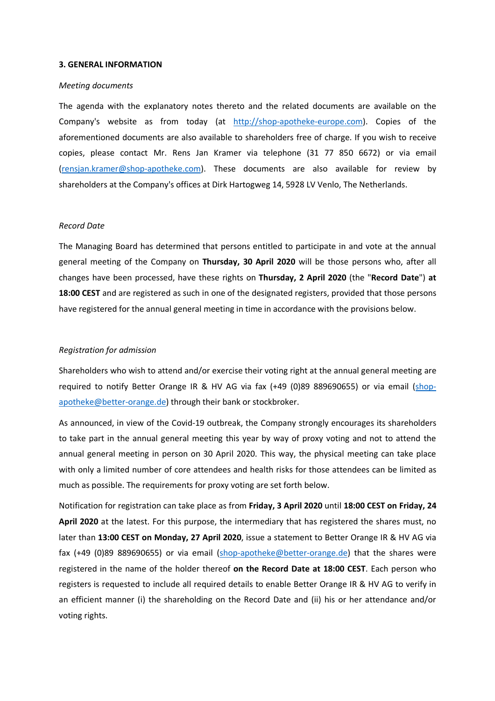#### **3. GENERAL INFORMATION**

#### *Meeting documents*

The agenda with the explanatory notes thereto and the related documents are available on the Company's website as from today (at http://shop-apotheke-europe.com). Copies of the aforementioned documents are also available to shareholders free of charge. If you wish to receive copies, please contact Mr. Rens Jan Kramer via telephone (31 77 850 6672) or via email (rensjan.kramer@shop-apotheke.com). These documents are also available for review by shareholders at the Company's offices at Dirk Hartogweg 14, 5928 LV Venlo, The Netherlands.

#### *Record Date*

The Managing Board has determined that persons entitled to participate in and vote at the annual general meeting of the Company on **Thursday, 30 April 2020** will be those persons who, after all changes have been processed, have these rights on **Thursday, 2 April 2020** (the "**Record Date**") **at 18:00 CEST** and are registered as such in one of the designated registers, provided that those persons have registered for the annual general meeting in time in accordance with the provisions below.

#### *Registration for admission*

Shareholders who wish to attend and/or exercise their voting right at the annual general meeting are required to notify Better Orange IR & HV AG via fax (+49 (0)89 889690655) or via email (shopapotheke@better-orange.de) through their bank or stockbroker.

As announced, in view of the Covid-19 outbreak, the Company strongly encourages its shareholders to take part in the annual general meeting this year by way of proxy voting and not to attend the annual general meeting in person on 30 April 2020. This way, the physical meeting can take place with only a limited number of core attendees and health risks for those attendees can be limited as much as possible. The requirements for proxy voting are set forth below.

Notification for registration can take place as from **Friday, 3 April 2020** until **18:00 CEST on Friday, 24 April 2020** at the latest. For this purpose, the intermediary that has registered the shares must, no later than **13:00 CEST on Monday, 27 April 2020**, issue a statement to Better Orange IR & HV AG via fax (+49 (0)89 889690655) or via email (shop-apotheke@better-orange.de) that the shares were registered in the name of the holder thereof **on the Record Date at 18:00 CEST**. Each person who registers is requested to include all required details to enable Better Orange IR & HV AG to verify in an efficient manner (i) the shareholding on the Record Date and (ii) his or her attendance and/or voting rights.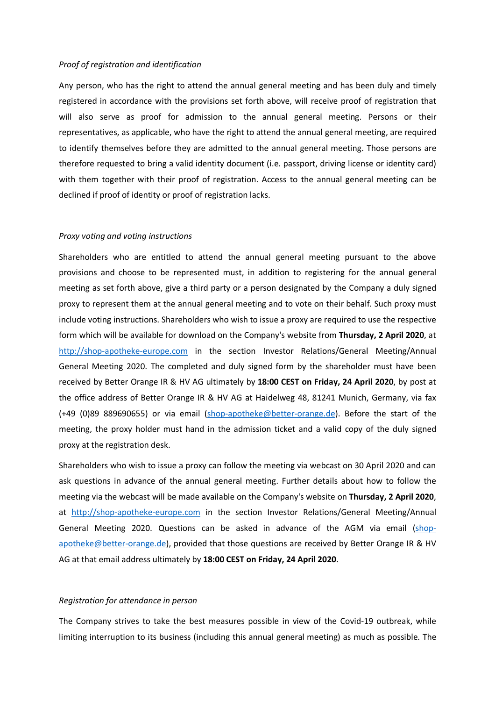#### *Proof of registration and identification*

Any person, who has the right to attend the annual general meeting and has been duly and timely registered in accordance with the provisions set forth above, will receive proof of registration that will also serve as proof for admission to the annual general meeting. Persons or their representatives, as applicable, who have the right to attend the annual general meeting, are required to identify themselves before they are admitted to the annual general meeting. Those persons are therefore requested to bring a valid identity document (i.e. passport, driving license or identity card) with them together with their proof of registration. Access to the annual general meeting can be declined if proof of identity or proof of registration lacks.

#### *Proxy voting and voting instructions*

Shareholders who are entitled to attend the annual general meeting pursuant to the above provisions and choose to be represented must, in addition to registering for the annual general meeting as set forth above, give a third party or a person designated by the Company a duly signed proxy to represent them at the annual general meeting and to vote on their behalf. Such proxy must include voting instructions. Shareholders who wish to issue a proxy are required to use the respective form which will be available for download on the Company's website from **Thursday, 2 April 2020**, at http://shop-apotheke-europe.com in the section Investor Relations/General Meeting/Annual General Meeting 2020. The completed and duly signed form by the shareholder must have been received by Better Orange IR & HV AG ultimately by **18:00 CEST on Friday, 24 April 2020**, by post at the office address of Better Orange IR & HV AG at Haidelweg 48, 81241 Munich, Germany, via fax (+49 (0)89 889690655) or via email (shop-apotheke@better-orange.de). Before the start of the meeting, the proxy holder must hand in the admission ticket and a valid copy of the duly signed proxy at the registration desk.

Shareholders who wish to issue a proxy can follow the meeting via webcast on 30 April 2020 and can ask questions in advance of the annual general meeting. Further details about how to follow the meeting via the webcast will be made available on the Company's website on **Thursday, 2 April 2020**, at http://shop-apotheke-europe.com in the section Investor Relations/General Meeting/Annual General Meeting 2020. Questions can be asked in advance of the AGM via email (shopapotheke@better-orange.de), provided that those questions are received by Better Orange IR & HV AG at that email address ultimately by **18:00 CEST on Friday, 24 April 2020**.

### *Registration for attendance in person*

The Company strives to take the best measures possible in view of the Covid-19 outbreak, while limiting interruption to its business (including this annual general meeting) as much as possible. The